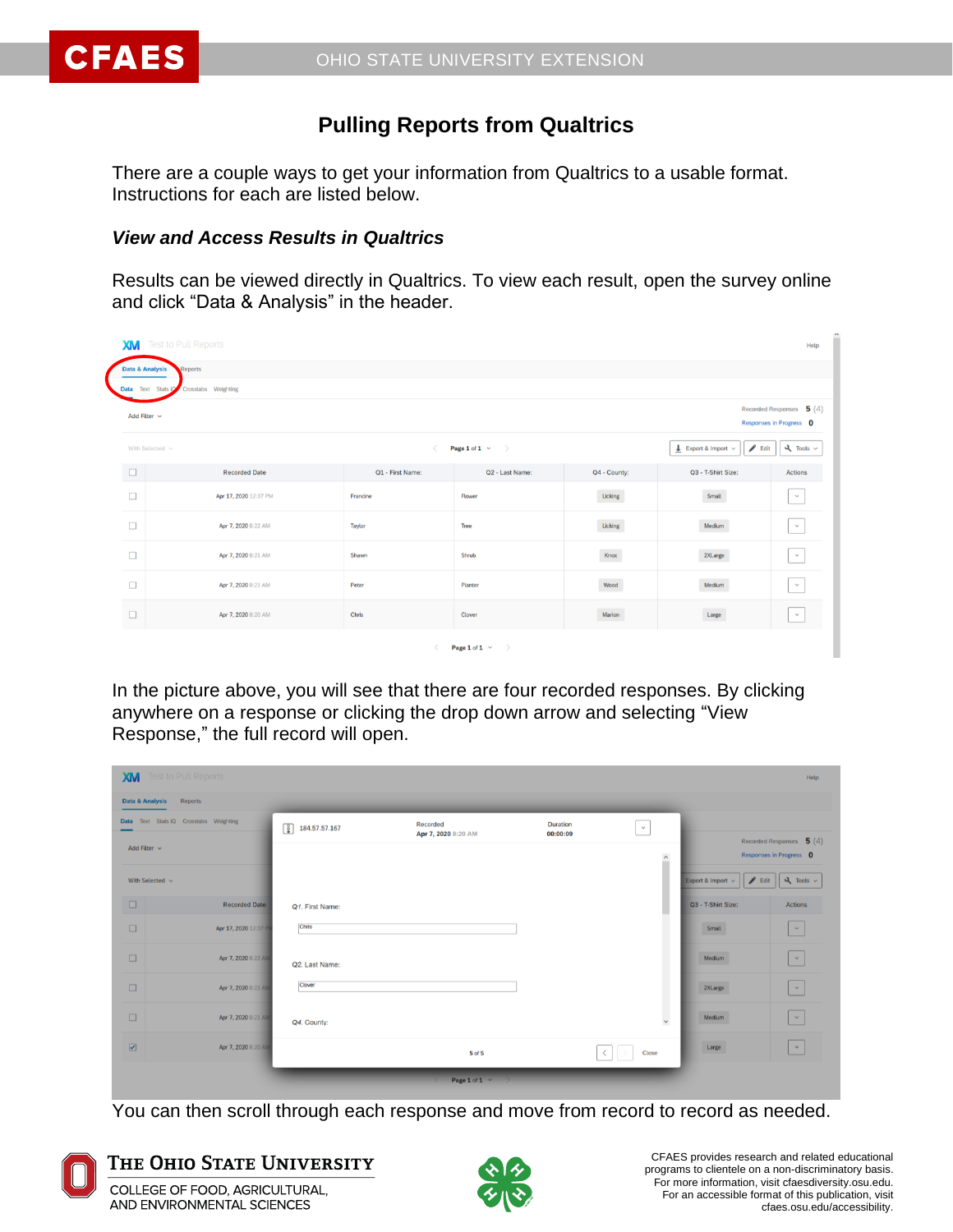

# **Pulling Reports from Qualtrics**

There are a couple ways to get your information from Qualtrics to a usable format. Instructions for each are listed below.

### *View and Access Results in Qualtrics*

Results can be viewed directly in Qualtrics. To view each result, open the survey online and click "Data & Analysis" in the header.

| n<br><b>Test to Pull Reports</b><br><b>XM</b><br>Help                                                             |                                           |                  |                      |              |                                                     |                |  |  |  |
|-------------------------------------------------------------------------------------------------------------------|-------------------------------------------|------------------|----------------------|--------------|-----------------------------------------------------|----------------|--|--|--|
|                                                                                                                   | <b>Data &amp; Analysis</b><br>Reports     |                  |                      |              |                                                     |                |  |  |  |
|                                                                                                                   | Data Text Stats io<br>Crosstabs Weighting |                  |                      |              |                                                     |                |  |  |  |
| Recorded Responses $\,$ 5 $(4)$<br>Add Filter $\sim$<br>Responses in Progress 0                                   |                                           |                  |                      |              |                                                     |                |  |  |  |
| $\blacktriangleright$ Edit<br>$L$ Export & Import $\sim$<br>Page 1 of 1 $\times$<br>With Selected v<br>$\epsilon$ |                                           |                  |                      |              | $\lambda$ Tools $\sim$                              |                |  |  |  |
| $\Box$                                                                                                            | <b>Recorded Date</b>                      | Q1 - First Name: | Q2 - Last Name:      | Q4 - County: | Q3 - T-Shirt Size:                                  | <b>Actions</b> |  |  |  |
| $\Box$                                                                                                            | Apr 17, 2020 12:37 PM                     | Francine         | Flower               | Licking      | Small                                               | $\checkmark$   |  |  |  |
| $\Box$                                                                                                            | Apr 7, 2020 8:22 AM                       | Taylor           | Tree                 | Licking      | Medium                                              | $\checkmark$   |  |  |  |
| $\Box$                                                                                                            | Apr 7, 2020 8:21 AM                       | Shawn            | Shrub                | Knox         | 2XLarge                                             | $\mathcal{A}$  |  |  |  |
| $\Box$                                                                                                            | Apr 7, 2020 8:21 AM                       | Peter            | Planter              | Wood         | Medium                                              | $\checkmark$   |  |  |  |
| $\Box$                                                                                                            | Apr 7, 2020 8:20 AM                       | Chris            | Clover               | Marion       | $\label{eq:large} \vspace{-0.000in} \textbf{Large}$ | $\sim$         |  |  |  |
|                                                                                                                   |                                           |                  | Page 1 of 1 $\times$ |              |                                                     |                |  |  |  |

In the picture above, you will see that there are four recorded responses. By clicking anywhere on a response or clicking the drop down arrow and selecting "View Response," the full record will open.

| <b>XM</b>                  | Test to Pull Reports                   |                                              |                                 |                      |             |                                                      | Help                                                       |
|----------------------------|----------------------------------------|----------------------------------------------|---------------------------------|----------------------|-------------|------------------------------------------------------|------------------------------------------------------------|
| <b>Data &amp; Analysis</b> | Reports                                |                                              |                                 |                      |             |                                                      |                                                            |
|                            | Data Text Stats IQ Crosstabs Weighting | $\lceil \frac{8}{9} \rceil$<br>184.57.57.167 | Recorded<br>Apr 7, 2020 8:20 AM | Duration<br>00:00:09 | $\sim$      |                                                      |                                                            |
| Add Filter v               |                                        |                                              |                                 |                      | $\land$     |                                                      | Recorded Responses $\,$ 5 $(4)$<br>Responses in Progress 0 |
| With Selected $\vee$       |                                        |                                              |                                 |                      |             | $\blacktriangleright$ Edit<br>Export & Import $\sim$ | $\lambda$ Tools $\sim$                                     |
| $\Box$                     | <b>Recorded Date</b>                   | Q1. First Name:                              |                                 |                      |             | Q3 - T-Shirt Size:                                   | <b>Actions</b>                                             |
| $\Box$                     | Apr 17, 2020 12:37 P                   | Chris                                        |                                 |                      |             | _<br>Small                                           | $\vert \times$                                             |
| $\Box$                     | Apr 7, 2020 8:22 AM                    | Q2. Last Name:                               |                                 |                      |             | Medium                                               | $\mathcal{A}$                                              |
| $\Box$                     | Apr 7, 2020 8:21 AM                    | Clover                                       |                                 |                      |             | 2XLarge<br>.                                         | $\sim$                                                     |
| $\Box$                     | Apr 7, 2020 8:21 AM                    | Q4. County:                                  |                                 |                      | $\check{~}$ | ___<br>Medium                                        | $\mathcal{A}$                                              |
| $\boxed{\text{M}}$         | Apr 7, 2020 8:20 AM                    |                                              | <b>5 of 5</b>                   |                      | Close       | _<br>Large                                           | $\vee$                                                     |
|                            |                                        |                                              | Page 1 of 1 $\vee$              |                      |             |                                                      |                                                            |

You can then scroll through each response and move from record to record as needed.



## THE OHIO STATE UNIVERSITY COLLEGE OF FOOD, AGRICULTURAL,

AND ENVIRONMENTAL SCIENCES

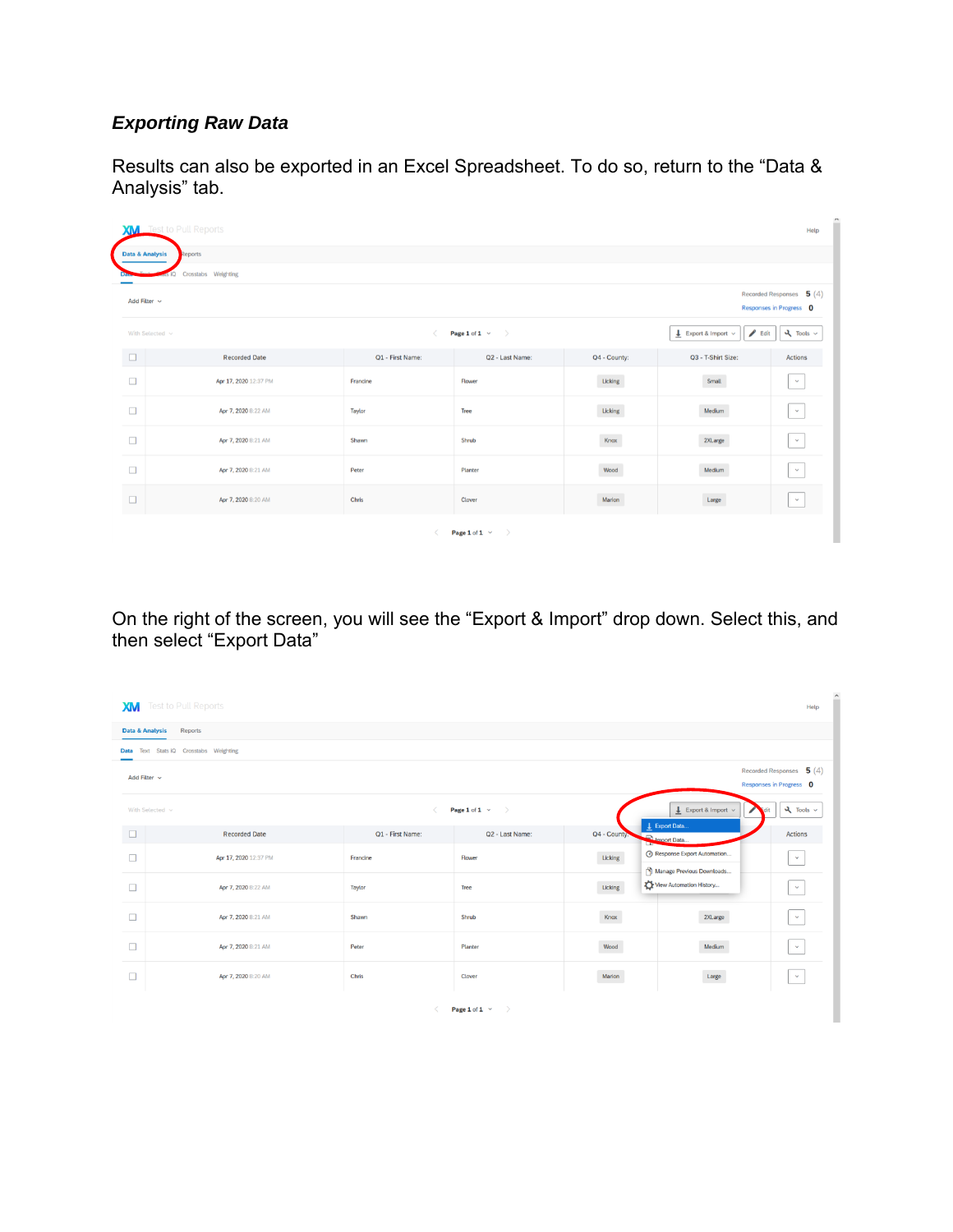# *Exporting Raw Data*

Results can also be exported in an Excel Spreadsheet. To do so, return to the "Data & Analysis" tab.

| ×<br><b>XM</b> Test to Pull Reports<br>Help                                     |                                                                                                                                                       |                  |                 |              |                               |                                |  |  |
|---------------------------------------------------------------------------------|-------------------------------------------------------------------------------------------------------------------------------------------------------|------------------|-----------------|--------------|-------------------------------|--------------------------------|--|--|
| <b>Data &amp; Analysis</b><br>Reports                                           |                                                                                                                                                       |                  |                 |              |                               |                                |  |  |
|                                                                                 | Crosstabs Weighting                                                                                                                                   |                  |                 |              |                               |                                |  |  |
| Recorded Responses $\,$ 5 $(4)$<br>Add Filter $\sim$<br>Responses in Progress 0 |                                                                                                                                                       |                  |                 |              |                               |                                |  |  |
|                                                                                 | $\blacktriangleright$ Edit<br>$\lambda$ Tools $\sim$<br>$L$ Export & Import $\sim$<br>Page 1 of 1 $\times$<br>With Selected $\,$ $\vee$<br>$\epsilon$ |                  |                 |              |                               |                                |  |  |
| $\Box$                                                                          | <b>Recorded Date</b>                                                                                                                                  | Q1 - First Name: | Q2 - Last Name: | Q4 - County: | Q3 - T-Shirt Size:            | Actions                        |  |  |
| $\Box$                                                                          | Apr 17, 2020 12:37 PM                                                                                                                                 | Francine         | Flower          | Licking      | $\ensuremath{\mathsf{Small}}$ | $\checkmark$                   |  |  |
| $\Box$                                                                          | Apr 7, 2020 8:22 AM                                                                                                                                   | Taylor           | Tree            | Licking      | Medium                        | $\mathbb{R} \times \mathbb{R}$ |  |  |
| $\Box$                                                                          | Apr 7, 2020 8:21 AM                                                                                                                                   | Shawn            | Shrub           | Knox         | 2XLarge                       | $\sim$                         |  |  |
| $\Box$                                                                          | Apr 7, 2020 8:21 AM                                                                                                                                   | Peter            | Planter         | Wood         | Medium                        | $\checkmark$                   |  |  |
| $\Box$                                                                          | Apr 7, 2020 8:20 AM                                                                                                                                   | Chris            | Clover          | Marion       | $_{\rm Large}$                | $\checkmark$                   |  |  |
|                                                                                 | Page 1 of 1 $\times$                                                                                                                                  |                  |                 |              |                               |                                |  |  |

On the right of the screen, you will see the "Export & Import" drop down. Select this, and then select "Export Data"

| XМ          | $\hat{ }$<br>Test to Pull Reports<br>Help                                            |                                          |                      |              |                                                           |                                |  |  |
|-------------|--------------------------------------------------------------------------------------|------------------------------------------|----------------------|--------------|-----------------------------------------------------------|--------------------------------|--|--|
|             | Reports<br><b>Data &amp; Analysis</b>                                                |                                          |                      |              |                                                           |                                |  |  |
| <b>Data</b> | Text Stats iQ Crosstabs Weighting                                                    |                                          |                      |              |                                                           |                                |  |  |
|             | Recorded Responses $\overline{5}(4)$<br>Add Filter $\sim$<br>Responses in Progress 0 |                                          |                      |              |                                                           |                                |  |  |
|             | With Selected $\sim$                                                                 | $\overline{\left\langle \right\rangle }$ | Page 1 of 1 $\times$ |              | $\frac{1}{2}$ Export & Import $\sim$<br>L Export Data     | $\lambda$ Tools $\sim$<br>idit |  |  |
| $\Box$      | <b>Recorded Date</b>                                                                 | Q1 - First Name:                         | Q2 - Last Name:      | Q4 - County. | <b>D</b> Import Data                                      | <b>Actions</b>                 |  |  |
| $\Box$      | Apr 17, 2020 12:37 PM                                                                | Francine                                 | Flower               | Licking      | ⊙ Response Export Automation<br>Manage Previous Downloads | $\checkmark$                   |  |  |
| $\Box$      | Apr 7, 2020 8:22 AM                                                                  | Taylor                                   | Tree                 | Licking      | View Automation History                                   | $\checkmark$                   |  |  |
| $\Box$      | Apr 7, 2020 8:21 AM                                                                  | Shawn                                    | Shrub                | Knox         | 2XLarge                                                   | $\prec$                        |  |  |
| $\Box$      | Apr 7, 2020 8:21 AM                                                                  | Peter                                    | Planter              | Wood         | Medium                                                    | $\checkmark$                   |  |  |
| $\Box$      | Apr 7, 2020 8:20 AM                                                                  | Chris                                    | Clover               | Marion       | Large                                                     | $\sim$                         |  |  |
|             | Page 1 of 1 $\vee$<br>$\rightarrow$                                                  |                                          |                      |              |                                                           |                                |  |  |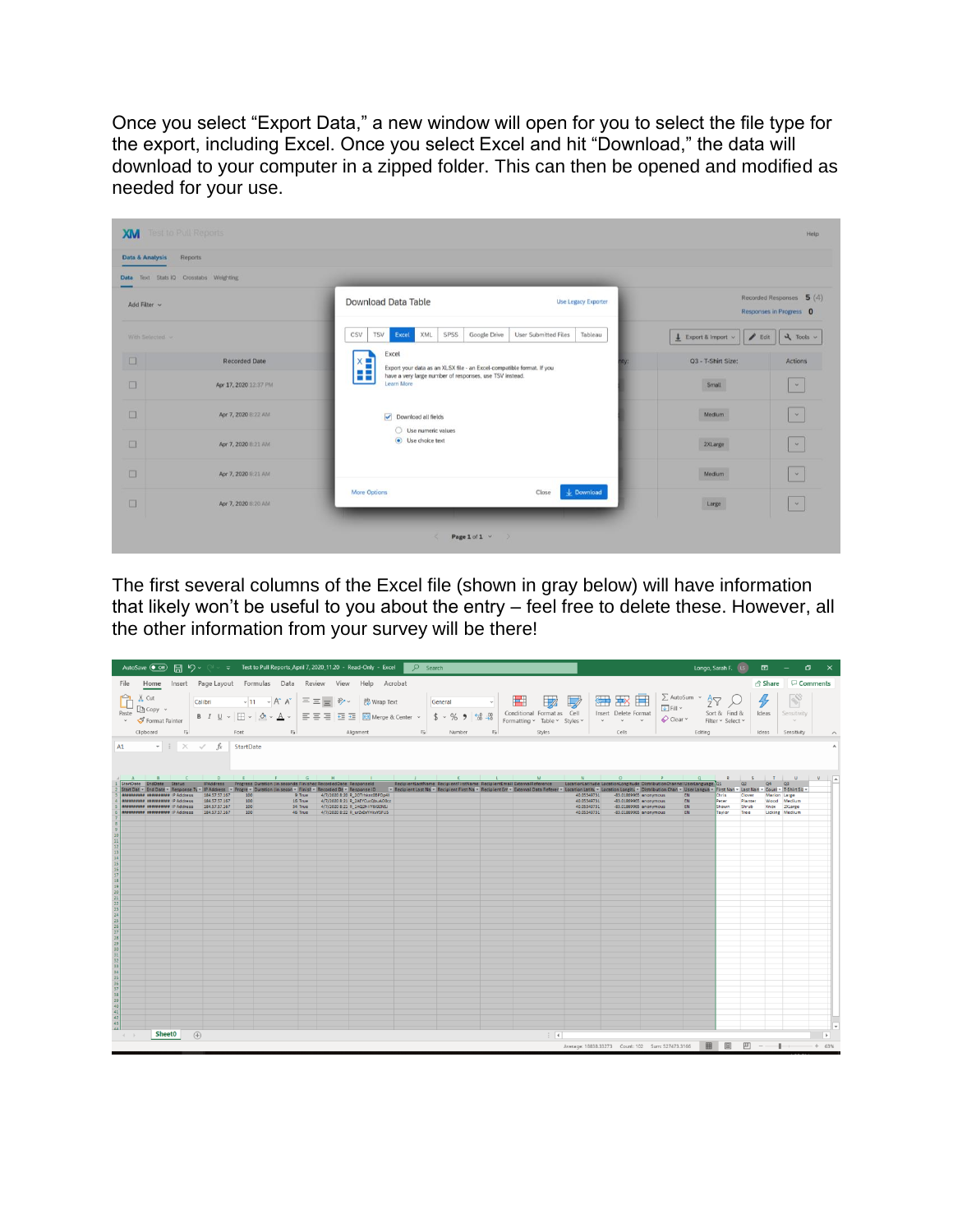Once you select "Export Data," a new window will open for you to select the file type for the export, including Excel. Once you select Excel and hit "Download," the data will download to your computer in a zipped folder. This can then be opened and modified as needed for your use.

|                                                            |                                                                       |                                                                             | Reports                                | Data & Analysis   |
|------------------------------------------------------------|-----------------------------------------------------------------------|-----------------------------------------------------------------------------|----------------------------------------|-------------------|
|                                                            |                                                                       |                                                                             | Data Text Stats IQ Crosstabs Weighting |                   |
| Recorded Responses 5 (4)<br>Responses in Progress 0        | <b>Use Legacy Exporter</b>                                            | Download Data Table                                                         |                                        | Add Filter v      |
| $25 - 700$<br>$\frac{1}{2}$ Export & Import $\sim$<br>Bdit | Google Drive<br>User Submitted Files<br>Tableau                       | XML<br>SPSS<br>CSV<br>TSV<br>Excel                                          |                                        | With Selected. v. |
| Q3 - T-Shirt Size:<br>Actions                              | Export your data as an XLSX file - an Excel-compatible format. If you | Excel<br>$x =$                                                              | <b>Recorded Date</b>                   | $\Box$            |
| Small<br>$\mathbf{v}$                                      |                                                                       | 88<br>have a very large number of responses, use TSV instead.<br>Learn More | Apr 17, 2020 12:37 PM                  | $\Box$            |
| Medium<br>$\sim$                                           |                                                                       | Download all fields                                                         | Apr 7, 2020 8:22 AM                    | $\Box$            |
| $\mathbf{v}$<br>2XLarge                                    |                                                                       | ○ Use numeric values<br>C Use choice text                                   | Apr 7, 2020 8:21 AM                    | $\Box$            |
| $\omega$<br>Medium                                         |                                                                       |                                                                             | Apr 7, 2020 8:21 AM                    | $\Box$            |
| <b>CONTRACTOR</b><br>Large<br>$\mathcal{M}_\mathrm{c}$     | $\perp$ Download<br>Close                                             | More Options                                                                | Apr 7, 2020 8:20 AM                    | $\Box$            |

The first several columns of the Excel file (shown in gray below) will have information that likely won't be useful to you about the entry – feel free to delete these. However, all the other information from your survey will be there!

| AutoSave $\overline{(-\circ)}$ $\overline{(-)}$ $\overline{(-)}$ $\vee$ $\vee$ $\vee$ $\overline{(-)}$ Test to Pull Reports_April 7, 2020_11.20 - Read-Only - Excel                                                                                                                                                                                                                                                                                                                                                                                                                                                                                                                                                                                                                                        | D Search                                                                                                                                                                                                     |                                             |                                                                                                                                                                                                                  | Longo, Sarah F. (LS ED - D<br>$\mathsf{x}$                                                                                                                             |
|------------------------------------------------------------------------------------------------------------------------------------------------------------------------------------------------------------------------------------------------------------------------------------------------------------------------------------------------------------------------------------------------------------------------------------------------------------------------------------------------------------------------------------------------------------------------------------------------------------------------------------------------------------------------------------------------------------------------------------------------------------------------------------------------------------|--------------------------------------------------------------------------------------------------------------------------------------------------------------------------------------------------------------|---------------------------------------------|------------------------------------------------------------------------------------------------------------------------------------------------------------------------------------------------------------------|------------------------------------------------------------------------------------------------------------------------------------------------------------------------|
| File Home Insert Page-Layout Formulas Data Review View Help Acrobat                                                                                                                                                                                                                                                                                                                                                                                                                                                                                                                                                                                                                                                                                                                                        |                                                                                                                                                                                                              |                                             |                                                                                                                                                                                                                  | the D Comments                                                                                                                                                         |
| $\sum_{k=1}^{N}$ Cut<br>$L \cap \text{Copy } \sim$<br>Paste<br>$\frac{1}{2}$ Format Painter<br>Clipboard                                                                                                                                                                                                                                                                                                                                                                                                                                                                                                                                                                                                                                                                                                   | Calibri $\vee$ 11 $\vee$ A <sup>*</sup> A <sup>*</sup> $\equiv \equiv \equiv$ $\gg$ $\vee$ 22 Wrap Text<br>General<br><b>Si</b> Font <b>Si</b> Alignment <b>Si</b> Number                                    | H<br>$\Box$<br>$\overline{v}$<br>Styles     | <b>■ BB ■ E</b> autosum × Aマ<br>$\overline{\downarrow}$ Fill $\sim$<br>Insert Delete Format<br>$\Diamond$ Clear $\lor$<br>$\sim$ $\sim$ $\sim$<br>and the contract of the Cells<br>the control of the control of | S<br>Sort & Find &<br>Ideas<br>Sensitivity<br>Filter ~ Select ~<br>$\sim$ 100 $\mu$<br>Editing<br>I deas Sensitivity<br>$\boldsymbol{\wedge}$                          |
| A1 $\cdot$ $\mid$ $\times$ $\cdot$ $\mid$ $\cdot$ StartDate                                                                                                                                                                                                                                                                                                                                                                                                                                                                                                                                                                                                                                                                                                                                                |                                                                                                                                                                                                              |                                             |                                                                                                                                                                                                                  |                                                                                                                                                                        |
| $A \quad B \quad C \quad D \quad E \quad F \quad G \quad H \quad I \quad I$<br>StartDate EndDate Status IPAddress Progress Duration (in seconds Finishec RecordedDate Responseld RecipientLastName RecipientFirstName RecipientEmail ExternalReference LocationLatitude LocationLongitude DistributionChannel<br>Start Dat + End Date + Response Ty + IP Address + Progre + Duration (in secon + Finist + Recorded Dt + Response ID - Respient Last Na + Recipient Linst Na + Recipient Erist Na + Recipient Erist Na + Recipient Erist Na + Re<br>184, 57, 57, 167<br>announce couponess IP Address<br>100<br><b>BRARRANNING BUUUDEERR IP Address</b><br>184, 57, 57, 167<br>100<br>announces supposed IP Address<br>184, 57, 57, 167<br>100<br>annousses assessess IP Address<br>184, 57, 57, 167<br>100 | <b>CONTRACT CONTRACT CONTRACT</b><br>9 True 4/7/2020 8:20 R_20Trhknt0BPDp4I<br>16 True 4/7/2020 8:21 R_2AEYCucQbuAO0cz<br>34 True 4/7/2020 8:21 R_1nQ2h1lY6i92NSJ<br>46 True 4/7/2020 8:22 R urZx0xYHkvYSFUS | the control of the control of<br><b>M</b> C | 40.05349731<br>-83.01869965 anonymous<br>EN<br>40.05349731<br>-83.01869965 anonymous<br>EN<br>40.05349731<br>-83.01869965 anonymous<br>EN<br>40.05349731<br>-83.01869965 anonymous<br>EN                         | R S T U V A<br>Q2<br>Q4 Q3<br>Clover<br>Marion Large<br>Chris<br>Planter<br>Wood Medium<br>Peter<br>Shawn<br>Shrub<br>Knox 2XLarge<br>Taylor<br>Licking Medium<br>Tree |
|                                                                                                                                                                                                                                                                                                                                                                                                                                                                                                                                                                                                                                                                                                                                                                                                            |                                                                                                                                                                                                              |                                             |                                                                                                                                                                                                                  |                                                                                                                                                                        |
|                                                                                                                                                                                                                                                                                                                                                                                                                                                                                                                                                                                                                                                                                                                                                                                                            |                                                                                                                                                                                                              |                                             |                                                                                                                                                                                                                  |                                                                                                                                                                        |
|                                                                                                                                                                                                                                                                                                                                                                                                                                                                                                                                                                                                                                                                                                                                                                                                            |                                                                                                                                                                                                              |                                             |                                                                                                                                                                                                                  |                                                                                                                                                                        |
|                                                                                                                                                                                                                                                                                                                                                                                                                                                                                                                                                                                                                                                                                                                                                                                                            |                                                                                                                                                                                                              |                                             |                                                                                                                                                                                                                  |                                                                                                                                                                        |
|                                                                                                                                                                                                                                                                                                                                                                                                                                                                                                                                                                                                                                                                                                                                                                                                            |                                                                                                                                                                                                              |                                             |                                                                                                                                                                                                                  |                                                                                                                                                                        |
| SheetO<br>$(+)$<br>$4 \rightarrow$                                                                                                                                                                                                                                                                                                                                                                                                                                                                                                                                                                                                                                                                                                                                                                         |                                                                                                                                                                                                              | $\frac{1}{2}$ $\overline{4}$                | 冊<br>Average: 18838.33273    Count: 102    Sum: 527473.3166                                                                                                                                                      | $\rightarrow$<br>凹<br>$- + 63%$<br>$-$                                                                                                                                 |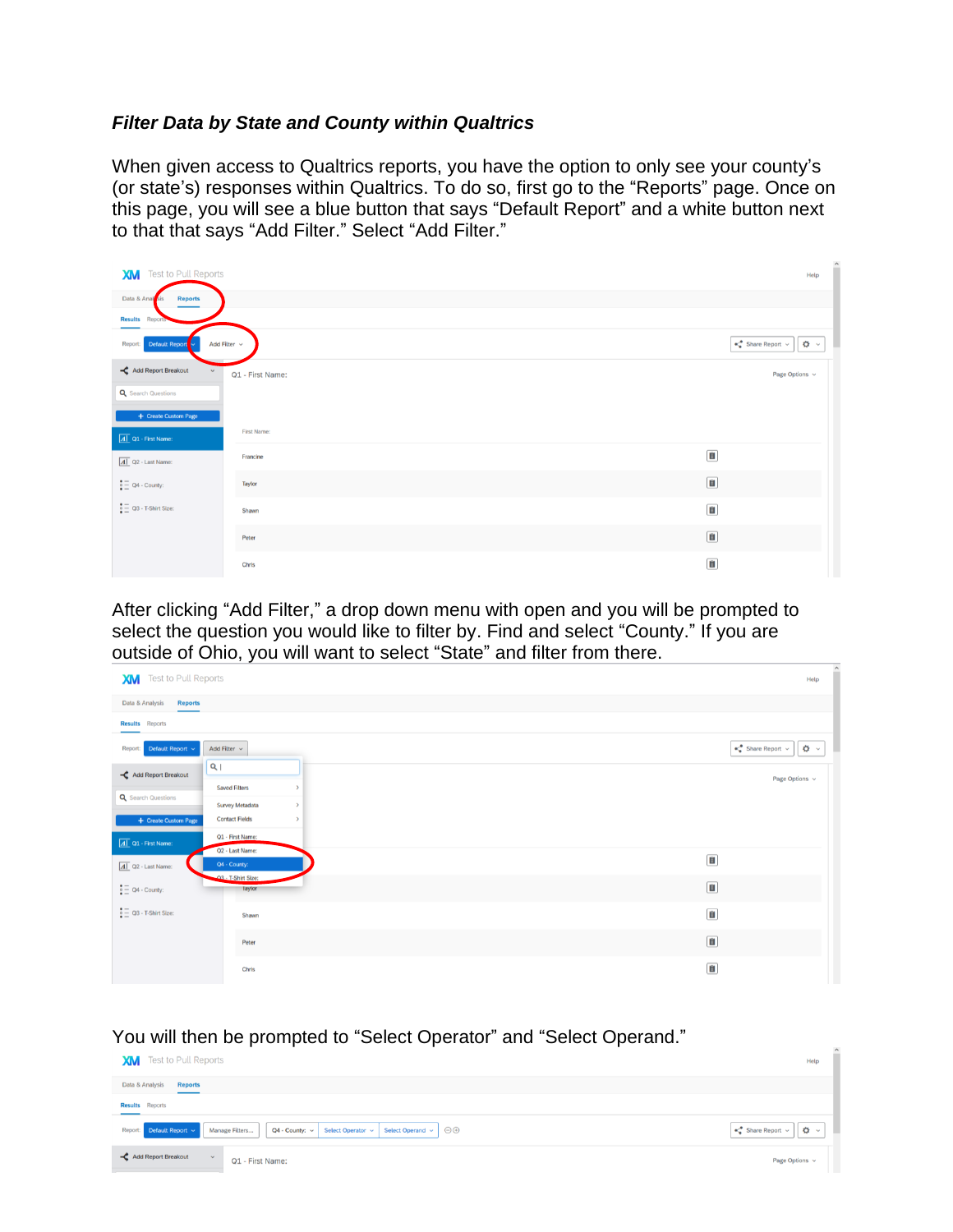### *Filter Data by State and County within Qualtrics*

When given access to Qualtrics reports, you have the option to only see your county's (or state's) responses within Qualtrics. To do so, first go to the "Reports" page. Once on this page, you will see a blue button that says "Default Report" and a white button next to that that says "Add Filter." Select "Add Filter."



After clicking "Add Filter," a drop down menu with open and you will be prompted to select the question you would like to filter by. Find and select "County." If you are outside of Ohio, you will want to select "State" and filter from there.

| <b>Test to Pull Reports</b><br>XM         |                                                 |               |                             |
|-------------------------------------------|-------------------------------------------------|---------------|-----------------------------|
| Data & Analysis<br><b>Reports</b>         |                                                 |               |                             |
| <b>Results</b> Reports                    |                                                 |               |                             |
| Report: Default Report v                  | Add Filter $\sqrt{}$                            |               | $\ll^0$ Share Report $\sim$ |
| Add Report Breakout                       | a                                               |               |                             |
| <b>Q</b> Search Questions                 | <b>Saved Filters</b>                            | $\rightarrow$ |                             |
| + Create Custom Page                      | <b>Survey Metadata</b><br><b>Contact Fields</b> | $\,$<br>$\,$  |                             |
|                                           | Q1 - First Name:                                |               |                             |
| $\boxed{A}$ Q1 - First Name:              | Q2 - Last Name:<br>Q4 - County:                 |               | $\blacksquare$              |
| $\boxed{A}$ Q2 - Last Name:               | 03 - T-Shirt Size:                              |               |                             |
| $\frac{•}{•}$ $\equiv$ Q4 - County:       | Taytor                                          |               | $\blacksquare$              |
| $\frac{1}{2}$ $\equiv$ Q3 - T-Shirt Size: | Shawn                                           |               | Ů                           |
|                                           | Peter                                           |               | $\blacksquare$              |
|                                           | Chris                                           |               | $\blacksquare$              |

You will then be prompted to "Select Operator" and "Select Operand."

| . .<br><b>Test to Pull Reports</b><br><b>XM</b>                                                                            | Help                                                                   |
|----------------------------------------------------------------------------------------------------------------------------|------------------------------------------------------------------------|
| Data & Analysis<br><b>Reports</b>                                                                                          |                                                                        |
| <b>Results</b> Reports<br>____                                                                                             |                                                                        |
| Report: Default Report v<br>Select Operand $\vee$ $\Theta$<br>Manage Filters<br>$Q4$ - County: $\vee$<br>Select Operator v | $\ll^0$ Share Report $\sim$<br>$\ddot{\mathbf{Q}}$ $\ddot{\mathbf{Q}}$ |
| Add Report Breakout<br>$\mathbf{v}$<br>Q1 - First Name:                                                                    | Page Options v                                                         |